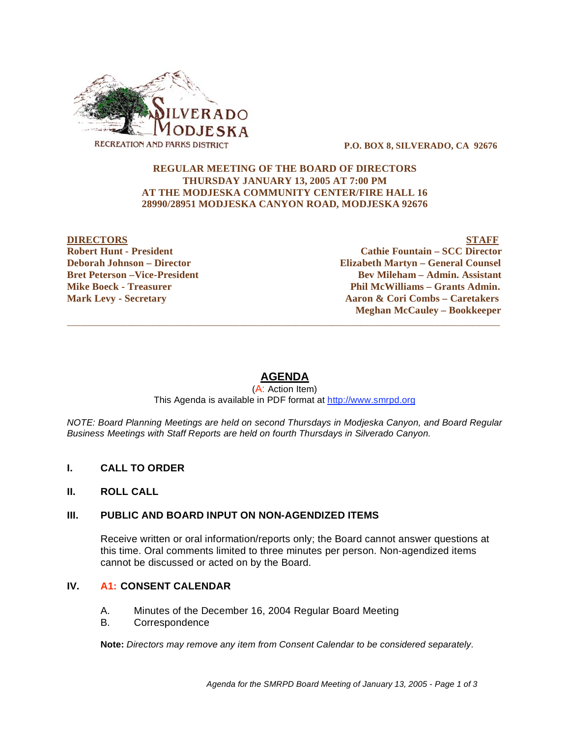

 **P.O. BOX 8, SILVERADO, CA 92676** 

### **REGULAR MEETING OF THE BOARD OF DIRECTORS THURSDAY JANUARY 13, 2005 AT 7:00 PM AT THE MODJESKA COMMUNITY CENTER/FIRE HALL 16 28990/28951 MODJESKA CANYON ROAD, MODJESKA 92676**

#### **DIRECTORS STAFF Robert Hunt - President Cathie Fountain – SCC Director Deborah Johnson – Director Elizabeth Martyn – General Counsel Bret Peterson –Vice-President 2008 Constraint Bev Mileham – Admin. Assistant Mike Boeck - Treasurer**  The Phil McWilliams – Grants Admin. **Mark Levy - Secretary Aaron & Cori Combs – Caretakers Aaron & Cori Combs – Caretakers Meghan McCauley – Bookkeeper**

# **AGENDA**

 $\overline{\phantom{a}}$  ,  $\overline{\phantom{a}}$  ,  $\overline{\phantom{a}}$  ,  $\overline{\phantom{a}}$  ,  $\overline{\phantom{a}}$  ,  $\overline{\phantom{a}}$  ,  $\overline{\phantom{a}}$  ,  $\overline{\phantom{a}}$  ,  $\overline{\phantom{a}}$  ,  $\overline{\phantom{a}}$  ,  $\overline{\phantom{a}}$  ,  $\overline{\phantom{a}}$  ,  $\overline{\phantom{a}}$  ,  $\overline{\phantom{a}}$  ,  $\overline{\phantom{a}}$  ,  $\overline{\phantom{a}}$ 

#### (A: Action Item) This Agenda is available in PDF format at http://www.smrpd.org

*NOTE: Board Planning Meetings are held on second Thursdays in Modjeska Canyon, and Board Regular Business Meetings with Staff Reports are held on fourth Thursdays in Silverado Canyon.* 

## **I. CALL TO ORDER**

### **II. ROLL CALL**

## **III. PUBLIC AND BOARD INPUT ON NON-AGENDIZED ITEMS**

Receive written or oral information/reports only; the Board cannot answer questions at this time. Oral comments limited to three minutes per person. Non-agendized items cannot be discussed or acted on by the Board.

#### **IV. A1: CONSENT CALENDAR**

- A. Minutes of the December 16, 2004 Regular Board Meeting
- B. Correspondence

**Note:** *Directors may remove any item from Consent Calendar to be considered separately.*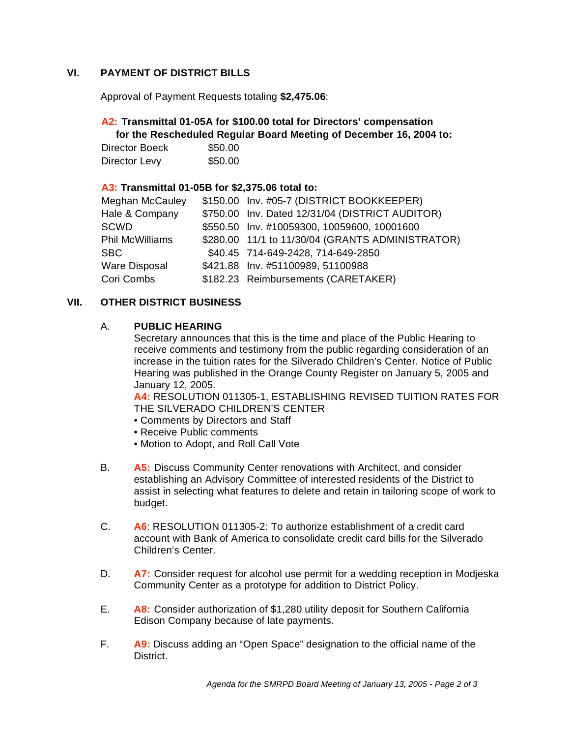## **VI. PAYMENT OF DISTRICT BILLS**

Approval of Payment Requests totaling **\$2,475.06**:

# **A2: Transmittal 01-05A for \$100.00 total for Directors' compensation**

 **for the Rescheduled Regular Board Meeting of December 16, 2004 to:** 

| Director Boeck | \$50.00 |
|----------------|---------|
| Director Levy  | \$50.00 |

## **A3: Transmittal 01-05B for \$2,375.06 total to:**

| Meghan McCauley | \$150.00 Inv. #05-7 (DISTRICT BOOKKEEPER)        |
|-----------------|--------------------------------------------------|
| Hale & Company  | \$750.00 Inv. Dated 12/31/04 (DISTRICT AUDITOR)  |
| SCWD            | \$550.50 Inv. #10059300, 10059600, 10001600      |
| Phil McWilliams | \$280.00 11/1 to 11/30/04 (GRANTS ADMINISTRATOR) |
| SBC             | \$40.45 714-649-2428, 714-649-2850               |
| Ware Disposal   | \$421.88 Inv. #51100989, 51100988                |
| Cori Combs      | \$182.23 Reimbursements (CARETAKER)              |
|                 |                                                  |

## **VII. OTHER DISTRICT BUSINESS**

## A. **PUBLIC HEARING**

Secretary announces that this is the time and place of the Public Hearing to receive comments and testimony from the public regarding consideration of an increase in the tuition rates for the Silverado Children's Center. Notice of Public Hearing was published in the Orange County Register on January 5, 2005 and January 12, 2005.

**A4:** RESOLUTION 011305-1, ESTABLISHING REVISED TUITION RATES FOR THE SILVERADO CHILDREN'S CENTER

- Comments by Directors and Staff
- Receive Public comments
- Motion to Adopt, and Roll Call Vote
- B. **A5:** Discuss Community Center renovations with Architect, and consider establishing an Advisory Committee of interested residents of the District to assist in selecting what features to delete and retain in tailoring scope of work to budget.
- C. **A6**: RESOLUTION 011305-2: To authorize establishment of a credit card account with Bank of America to consolidate credit card bills for the Silverado Children's Center.
- D. **A7:** Consider request for alcohol use permit for a wedding reception in Modjeska Community Center as a prototype for addition to District Policy.
- E. **A8:** Consider authorization of \$1,280 utility deposit for Southern California Edison Company because of late payments.
- F. **A9:** Discuss adding an "Open Space" designation to the official name of the District.